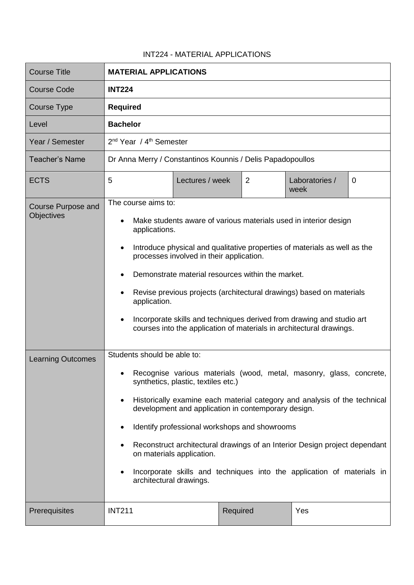## INT224 - MATERIAL APPLICATIONS

| <b>Course Title</b>                     | <b>MATERIAL APPLICATIONS</b>                                                                                                                                                                                                                                                                                                                                                                                                                                                                                                                        |                 |          |                        |             |  |
|-----------------------------------------|-----------------------------------------------------------------------------------------------------------------------------------------------------------------------------------------------------------------------------------------------------------------------------------------------------------------------------------------------------------------------------------------------------------------------------------------------------------------------------------------------------------------------------------------------------|-----------------|----------|------------------------|-------------|--|
| <b>Course Code</b>                      | <b>INT224</b>                                                                                                                                                                                                                                                                                                                                                                                                                                                                                                                                       |                 |          |                        |             |  |
| Course Type                             | <b>Required</b>                                                                                                                                                                                                                                                                                                                                                                                                                                                                                                                                     |                 |          |                        |             |  |
| Level                                   | <b>Bachelor</b>                                                                                                                                                                                                                                                                                                                                                                                                                                                                                                                                     |                 |          |                        |             |  |
| Year / Semester                         | 2 <sup>nd</sup> Year / 4 <sup>th</sup> Semester                                                                                                                                                                                                                                                                                                                                                                                                                                                                                                     |                 |          |                        |             |  |
| <b>Teacher's Name</b>                   | Dr Anna Merry / Constantinos Kounnis / Delis Papadopoullos                                                                                                                                                                                                                                                                                                                                                                                                                                                                                          |                 |          |                        |             |  |
| <b>ECTS</b>                             | 5                                                                                                                                                                                                                                                                                                                                                                                                                                                                                                                                                   | Lectures / week | 2        | Laboratories /<br>week | $\mathbf 0$ |  |
| <b>Course Purpose and</b><br>Objectives | The course aims to:<br>Make students aware of various materials used in interior design<br>applications.<br>Introduce physical and qualitative properties of materials as well as the<br>processes involved in their application.<br>Demonstrate material resources within the market.<br>Revise previous projects (architectural drawings) based on materials<br>٠<br>application.<br>Incorporate skills and techniques derived from drawing and studio art<br>courses into the application of materials in architectural drawings.                |                 |          |                        |             |  |
| <b>Learning Outcomes</b>                | Students should be able to:<br>Recognise various materials (wood, metal, masonry, glass, concrete,<br>٠<br>synthetics, plastic, textiles etc.)<br>Historically examine each material category and analysis of the technical<br>development and application in contemporary design.<br>Identify professional workshops and showrooms<br>Reconstruct architectural drawings of an Interior Design project dependant<br>on materials application.<br>Incorporate skills and techniques into the application of materials in<br>architectural drawings. |                 |          |                        |             |  |
| Prerequisites                           | <b>INT211</b>                                                                                                                                                                                                                                                                                                                                                                                                                                                                                                                                       |                 | Required | Yes                    |             |  |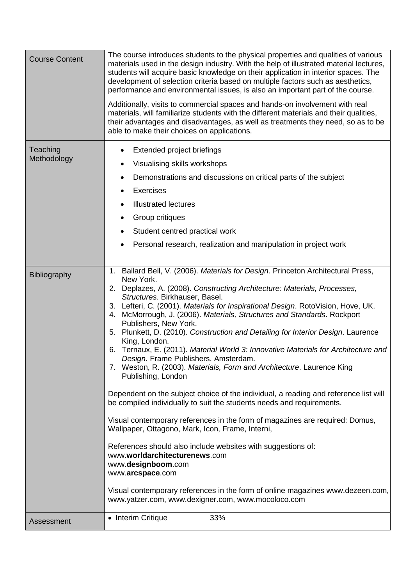| <b>Course Content</b>   | The course introduces students to the physical properties and qualities of various<br>materials used in the design industry. With the help of illustrated material lectures,<br>students will acquire basic knowledge on their application in interior spaces. The<br>development of selection criteria based on multiple factors such as aesthetics,<br>performance and environmental issues, is also an important part of the course.<br>Additionally, visits to commercial spaces and hands-on involvement with real<br>materials, will familiarize students with the different materials and their qualities,<br>their advantages and disadvantages, as well as treatments they need, so as to be<br>able to make their choices on applications.                                                                                                                                                                                                                                                                                                                                                                                                                                                                                                                                                                          |
|-------------------------|-------------------------------------------------------------------------------------------------------------------------------------------------------------------------------------------------------------------------------------------------------------------------------------------------------------------------------------------------------------------------------------------------------------------------------------------------------------------------------------------------------------------------------------------------------------------------------------------------------------------------------------------------------------------------------------------------------------------------------------------------------------------------------------------------------------------------------------------------------------------------------------------------------------------------------------------------------------------------------------------------------------------------------------------------------------------------------------------------------------------------------------------------------------------------------------------------------------------------------------------------------------------------------------------------------------------------------|
| Teaching<br>Methodology | Extended project briefings<br>Visualising skills workshops<br>$\bullet$<br>Demonstrations and discussions on critical parts of the subject<br><b>Exercises</b><br><b>Illustrated lectures</b><br>Group critiques<br>Student centred practical work<br>Personal research, realization and manipulation in project work                                                                                                                                                                                                                                                                                                                                                                                                                                                                                                                                                                                                                                                                                                                                                                                                                                                                                                                                                                                                         |
| Bibliography            | 1. Ballard Bell, V. (2006). Materials for Design. Princeton Architectural Press,<br>New York.<br>2. Deplazes, A. (2008). Constructing Architecture: Materials, Processes,<br>Structures. Birkhauser, Basel.<br>3. Lefteri, C. (2001). Materials for Inspirational Design. RotoVision, Hove, UK.<br>4. McMorrough, J. (2006). Materials, Structures and Standards. Rockport<br>Publishers, New York.<br>5. Plunkett, D. (2010). Construction and Detailing for Interior Design. Laurence<br>King, London.<br>6. Ternaux, E. (2011). Material World 3: Innovative Materials for Architecture and<br>Desian, Frame Publishers, Amsterdam,<br>7. Weston, R. (2003). Materials, Form and Architecture. Laurence King<br>Publishing, London<br>Dependent on the subject choice of the individual, a reading and reference list will<br>be compiled individually to suit the students needs and requirements.<br>Visual contemporary references in the form of magazines are required: Domus,<br>Wallpaper, Ottagono, Mark, Icon, Frame, Interni,<br>References should also include websites with suggestions of:<br>www.worldarchitecturenews.com<br>www.designboom.com<br>www.arcspace.com<br>Visual contemporary references in the form of online magazines www.dezeen.com,<br>www.yatzer.com, www.dexigner.com, www.mocoloco.com |
| Assessment              | • Interim Critique<br>33%                                                                                                                                                                                                                                                                                                                                                                                                                                                                                                                                                                                                                                                                                                                                                                                                                                                                                                                                                                                                                                                                                                                                                                                                                                                                                                     |